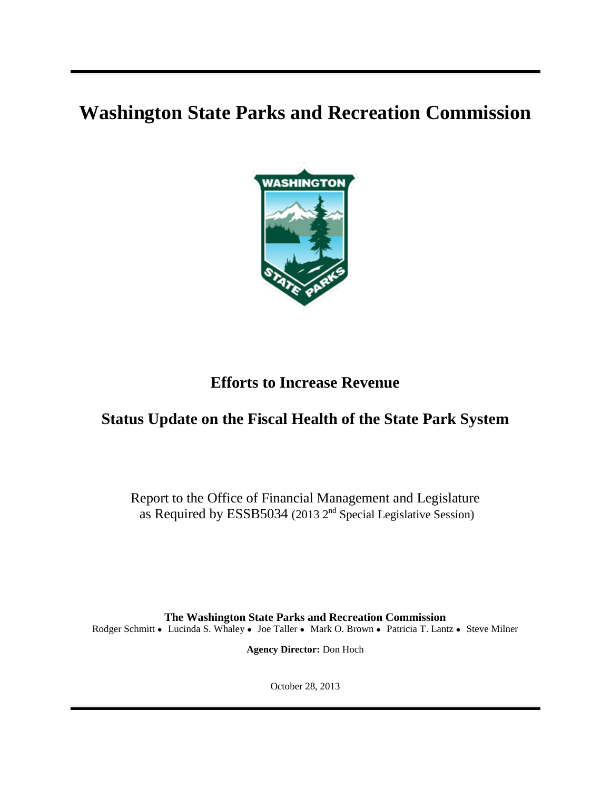# **Washington State Parks and Recreation Commission**



# **Efforts to Increase Revenue**

# **Status Update on the Fiscal Health of the State Park System**

Report to the Office of Financial Management and Legislature as Required by ESSB5034 (2013 2<sup>nd</sup> Special Legislative Session)

**The Washington State Parks and Recreation Commission** Rodger Schmitt • Lucinda S. Whaley • Joe Taller • Mark O. Brown • Patricia T. Lantz • Steve Milner

**Agency Director:** Don Hoch

October 28, 2013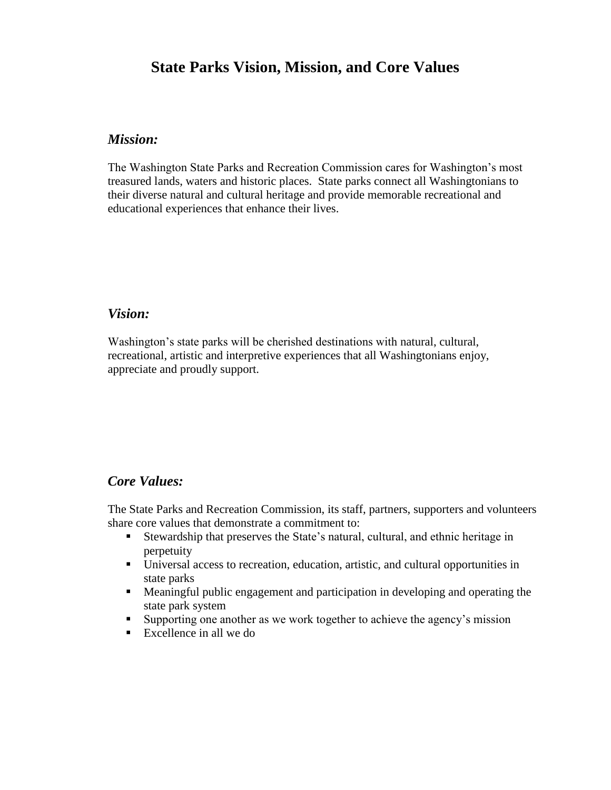# **State Parks Vision, Mission, and Core Values**

## *Mission:*

The Washington State Parks and Recreation Commission cares for Washington's most treasured lands, waters and historic places. State parks connect all Washingtonians to their diverse natural and cultural heritage and provide memorable recreational and educational experiences that enhance their lives.

### *Vision:*

Washington's state parks will be cherished destinations with natural, cultural, recreational, artistic and interpretive experiences that all Washingtonians enjoy, appreciate and proudly support.

#### *Core Values:*

The State Parks and Recreation Commission, its staff, partners, supporters and volunteers share core values that demonstrate a commitment to:

- Stewardship that preserves the State's natural, cultural, and ethnic heritage in perpetuity
- Universal access to recreation, education, artistic, and cultural opportunities in state parks
- Meaningful public engagement and participation in developing and operating the state park system
- Supporting one another as we work together to achieve the agency's mission
- Excellence in all we do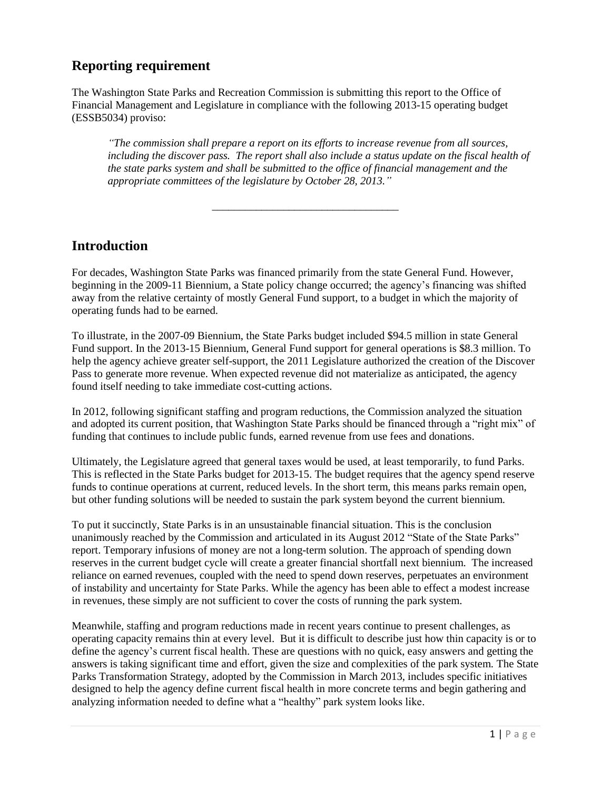## **Reporting requirement**

The Washington State Parks and Recreation Commission is submitting this report to the Office of Financial Management and Legislature in compliance with the following 2013-15 operating budget (ESSB5034) proviso:

*"The commission shall prepare a report on its efforts to increase revenue from all sources,*  including the discover pass. The report shall also include a status update on the fiscal health of *the state parks system and shall be submitted to the office of financial management and the appropriate committees of the legislature by October 28, 2013."*

## **Introduction**

For decades, Washington State Parks was financed primarily from the state General Fund. However, beginning in the 2009-11 Biennium, a State policy change occurred; the agency's financing was shifted away from the relative certainty of mostly General Fund support, to a budget in which the majority of operating funds had to be earned.

\_\_\_\_\_\_\_\_\_\_\_\_\_\_\_\_\_\_\_\_\_\_\_\_\_\_\_\_\_\_\_\_\_\_

To illustrate, in the 2007-09 Biennium, the State Parks budget included \$94.5 million in state General Fund support. In the 2013-15 Biennium, General Fund support for general operations is \$8.3 million. To help the agency achieve greater self-support, the 2011 Legislature authorized the creation of the Discover Pass to generate more revenue. When expected revenue did not materialize as anticipated, the agency found itself needing to take immediate cost-cutting actions.

In 2012, following significant staffing and program reductions, the Commission analyzed the situation and adopted its current position, that Washington State Parks should be financed through a "right mix" of funding that continues to include public funds, earned revenue from use fees and donations.

Ultimately, the Legislature agreed that general taxes would be used, at least temporarily, to fund Parks. This is reflected in the State Parks budget for 2013-15. The budget requires that the agency spend reserve funds to continue operations at current, reduced levels. In the short term, this means parks remain open, but other funding solutions will be needed to sustain the park system beyond the current biennium.

To put it succinctly, State Parks is in an unsustainable financial situation. This is the conclusion unanimously reached by the Commission and articulated in its August 2012 "State of the State Parks" report. Temporary infusions of money are not a long-term solution. The approach of spending down reserves in the current budget cycle will create a greater financial shortfall next biennium. The increased reliance on earned revenues, coupled with the need to spend down reserves, perpetuates an environment of instability and uncertainty for State Parks. While the agency has been able to effect a modest increase in revenues, these simply are not sufficient to cover the costs of running the park system.

Meanwhile, staffing and program reductions made in recent years continue to present challenges, as operating capacity remains thin at every level. But it is difficult to describe just how thin capacity is or to define the agency's current fiscal health. These are questions with no quick, easy answers and getting the answers is taking significant time and effort, given the size and complexities of the park system. The State Parks Transformation Strategy, adopted by the Commission in March 2013, includes specific initiatives designed to help the agency define current fiscal health in more concrete terms and begin gathering and analyzing information needed to define what a "healthy" park system looks like.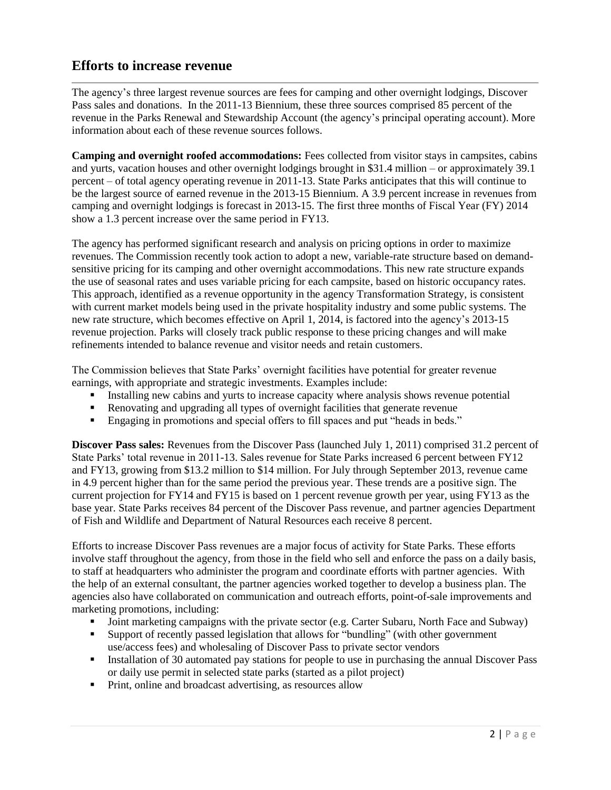## **Efforts to increase revenue**

The agency's three largest revenue sources are fees for camping and other overnight lodgings, Discover Pass sales and donations. In the 2011-13 Biennium, these three sources comprised 85 percent of the revenue in the Parks Renewal and Stewardship Account (the agency's principal operating account). More information about each of these revenue sources follows.

**Camping and overnight roofed accommodations:** Fees collected from visitor stays in campsites, cabins and yurts, vacation houses and other overnight lodgings brought in \$31.4 million – or approximately 39.1 percent – of total agency operating revenue in 2011-13. State Parks anticipates that this will continue to be the largest source of earned revenue in the 2013-15 Biennium. A 3.9 percent increase in revenues from camping and overnight lodgings is forecast in 2013-15. The first three months of Fiscal Year (FY) 2014 show a 1.3 percent increase over the same period in FY13.

The agency has performed significant research and analysis on pricing options in order to maximize revenues. The Commission recently took action to adopt a new, variable-rate structure based on demandsensitive pricing for its camping and other overnight accommodations. This new rate structure expands the use of seasonal rates and uses variable pricing for each campsite, based on historic occupancy rates. This approach, identified as a revenue opportunity in the agency Transformation Strategy, is consistent with current market models being used in the private hospitality industry and some public systems. The new rate structure, which becomes effective on April 1, 2014, is factored into the agency's 2013-15 revenue projection. Parks will closely track public response to these pricing changes and will make refinements intended to balance revenue and visitor needs and retain customers.

The Commission believes that State Parks' overnight facilities have potential for greater revenue earnings, with appropriate and strategic investments. Examples include:

- Installing new cabins and yurts to increase capacity where analysis shows revenue potential
- Renovating and upgrading all types of overnight facilities that generate revenue
- Engaging in promotions and special offers to fill spaces and put "heads in beds."

**Discover Pass sales:** Revenues from the Discover Pass (launched July 1, 2011) comprised 31.2 percent of State Parks' total revenue in 2011-13. Sales revenue for State Parks increased 6 percent between FY12 and FY13, growing from \$13.2 million to \$14 million. For July through September 2013, revenue came in 4.9 percent higher than for the same period the previous year. These trends are a positive sign. The current projection for FY14 and FY15 is based on 1 percent revenue growth per year, using FY13 as the base year. State Parks receives 84 percent of the Discover Pass revenue, and partner agencies Department of Fish and Wildlife and Department of Natural Resources each receive 8 percent.

Efforts to increase Discover Pass revenues are a major focus of activity for State Parks. These efforts involve staff throughout the agency, from those in the field who sell and enforce the pass on a daily basis, to staff at headquarters who administer the program and coordinate efforts with partner agencies. With the help of an external consultant, the partner agencies worked together to develop a business plan. The agencies also have collaborated on communication and outreach efforts, point-of-sale improvements and marketing promotions, including:

- Joint marketing campaigns with the private sector (e.g. Carter Subaru, North Face and Subway)
- Support of recently passed legislation that allows for "bundling" (with other government use/access fees) and wholesaling of Discover Pass to private sector vendors
- Installation of 30 automated pay stations for people to use in purchasing the annual Discover Pass or daily use permit in selected state parks (started as a pilot project)
- Print, online and broadcast advertising, as resources allow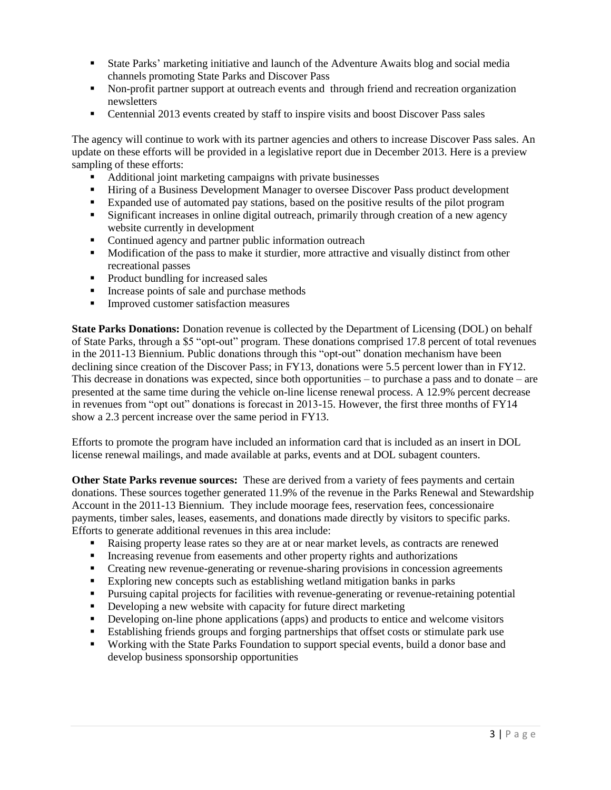- State Parks' marketing initiative and launch of the Adventure Awaits blog and social media channels promoting State Parks and Discover Pass
- Non-profit partner support at outreach events and through friend and recreation organization newsletters
- Centennial 2013 events created by staff to inspire visits and boost Discover Pass sales

The agency will continue to work with its partner agencies and others to increase Discover Pass sales. An update on these efforts will be provided in a legislative report due in December 2013. Here is a preview sampling of these efforts:

- Additional joint marketing campaigns with private businesses
- Hiring of a Business Development Manager to oversee Discover Pass product development
- Expanded use of automated pay stations, based on the positive results of the pilot program
- Significant increases in online digital outreach, primarily through creation of a new agency website currently in development
- Continued agency and partner public information outreach
- **Modification of the pass to make it sturdier, more attractive and visually distinct from other** recreational passes
- Product bundling for increased sales
- **IDED** Increase points of sale and purchase methods
- **Improved customer satisfaction measures**

**State Parks Donations:** Donation revenue is collected by the Department of Licensing (DOL) on behalf of State Parks, through a \$5 "opt-out" program. These donations comprised 17.8 percent of total revenues in the 2011-13 Biennium. Public donations through this "opt-out" donation mechanism have been declining since creation of the Discover Pass; in FY13, donations were 5.5 percent lower than in FY12. This decrease in donations was expected, since both opportunities – to purchase a pass and to donate – are presented at the same time during the vehicle on-line license renewal process. A 12.9% percent decrease in revenues from "opt out" donations is forecast in 2013-15. However, the first three months of FY14 show a 2.3 percent increase over the same period in FY13.

Efforts to promote the program have included an information card that is included as an insert in DOL license renewal mailings, and made available at parks, events and at DOL subagent counters.

**Other State Parks revenue sources:** These are derived from a variety of fees payments and certain donations. These sources together generated 11.9% of the revenue in the Parks Renewal and Stewardship Account in the 2011-13 Biennium. They include moorage fees, reservation fees, concessionaire payments, timber sales, leases, easements, and donations made directly by visitors to specific parks. Efforts to generate additional revenues in this area include:

- Raising property lease rates so they are at or near market levels, as contracts are renewed
- Increasing revenue from easements and other property rights and authorizations
- Creating new revenue-generating or revenue-sharing provisions in concession agreements
- Exploring new concepts such as establishing wetland mitigation banks in parks
- Pursuing capital projects for facilities with revenue-generating or revenue-retaining potential
- Developing a new website with capacity for future direct marketing
- Developing on-line phone applications (apps) and products to entice and welcome visitors
- Establishing friends groups and forging partnerships that offset costs or stimulate park use
- Working with the State Parks Foundation to support special events, build a donor base and develop business sponsorship opportunities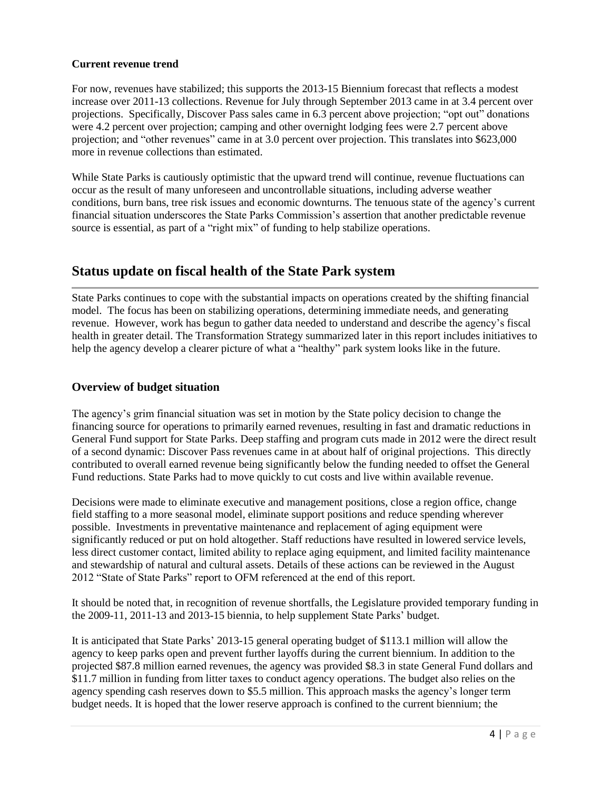#### **Current revenue trend**

For now, revenues have stabilized; this supports the 2013-15 Biennium forecast that reflects a modest increase over 2011-13 collections. Revenue for July through September 2013 came in at 3.4 percent over projections. Specifically, Discover Pass sales came in 6.3 percent above projection; "opt out" donations were 4.2 percent over projection; camping and other overnight lodging fees were 2.7 percent above projection; and "other revenues" came in at 3.0 percent over projection. This translates into \$623,000 more in revenue collections than estimated.

While State Parks is cautiously optimistic that the upward trend will continue, revenue fluctuations can occur as the result of many unforeseen and uncontrollable situations, including adverse weather conditions, burn bans, tree risk issues and economic downturns. The tenuous state of the agency's current financial situation underscores the State Parks Commission's assertion that another predictable revenue source is essential, as part of a "right mix" of funding to help stabilize operations.

### **Status update on fiscal health of the State Park system**

State Parks continues to cope with the substantial impacts on operations created by the shifting financial model. The focus has been on stabilizing operations, determining immediate needs, and generating revenue. However, work has begun to gather data needed to understand and describe the agency's fiscal health in greater detail. The Transformation Strategy summarized later in this report includes initiatives to help the agency develop a clearer picture of what a "healthy" park system looks like in the future.

#### **Overview of budget situation**

The agency's grim financial situation was set in motion by the State policy decision to change the financing source for operations to primarily earned revenues, resulting in fast and dramatic reductions in General Fund support for State Parks. Deep staffing and program cuts made in 2012 were the direct result of a second dynamic: Discover Pass revenues came in at about half of original projections. This directly contributed to overall earned revenue being significantly below the funding needed to offset the General Fund reductions. State Parks had to move quickly to cut costs and live within available revenue.

Decisions were made to eliminate executive and management positions, close a region office, change field staffing to a more seasonal model, eliminate support positions and reduce spending wherever possible. Investments in preventative maintenance and replacement of aging equipment were significantly reduced or put on hold altogether. Staff reductions have resulted in lowered service levels, less direct customer contact, limited ability to replace aging equipment, and limited facility maintenance and stewardship of natural and cultural assets. Details of these actions can be reviewed in the August 2012 "State of State Parks" report to OFM referenced at the end of this report.

It should be noted that, in recognition of revenue shortfalls, the Legislature provided temporary funding in the 2009-11, 2011-13 and 2013-15 biennia, to help supplement State Parks' budget.

It is anticipated that State Parks' 2013-15 general operating budget of \$113.1 million will allow the agency to keep parks open and prevent further layoffs during the current biennium. In addition to the projected \$87.8 million earned revenues, the agency was provided \$8.3 in state General Fund dollars and \$11.7 million in funding from litter taxes to conduct agency operations. The budget also relies on the agency spending cash reserves down to \$5.5 million. This approach masks the agency's longer term budget needs. It is hoped that the lower reserve approach is confined to the current biennium; the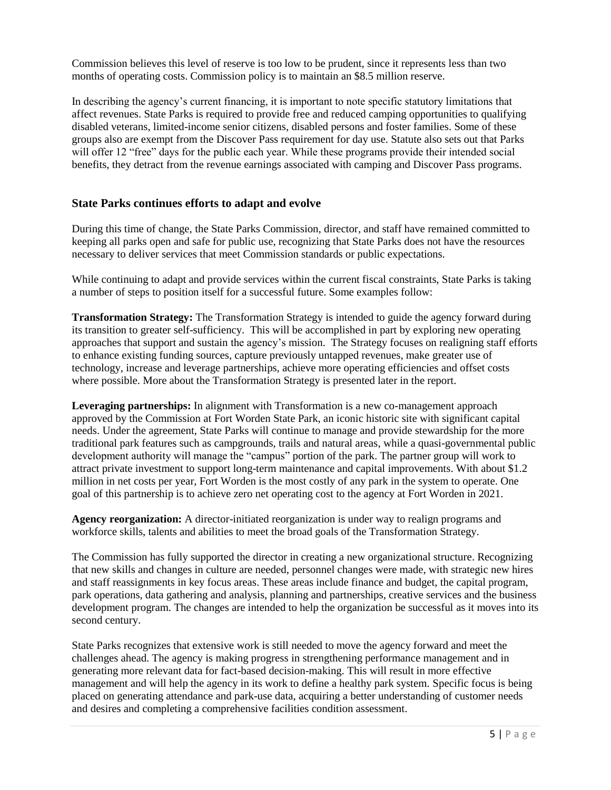Commission believes this level of reserve is too low to be prudent, since it represents less than two months of operating costs. Commission policy is to maintain an \$8.5 million reserve.

In describing the agency's current financing, it is important to note specific statutory limitations that affect revenues. State Parks is required to provide free and reduced camping opportunities to qualifying disabled veterans, limited-income senior citizens, disabled persons and foster families. Some of these groups also are exempt from the Discover Pass requirement for day use. Statute also sets out that Parks will offer 12 "free" days for the public each year. While these programs provide their intended social benefits, they detract from the revenue earnings associated with camping and Discover Pass programs.

#### **State Parks continues efforts to adapt and evolve**

During this time of change, the State Parks Commission, director, and staff have remained committed to keeping all parks open and safe for public use, recognizing that State Parks does not have the resources necessary to deliver services that meet Commission standards or public expectations.

While continuing to adapt and provide services within the current fiscal constraints, State Parks is taking a number of steps to position itself for a successful future. Some examples follow:

**Transformation Strategy:** The Transformation Strategy is intended to guide the agency forward during its transition to greater self-sufficiency. This will be accomplished in part by exploring new operating approaches that support and sustain the agency's mission. The Strategy focuses on realigning staff efforts to enhance existing funding sources, capture previously untapped revenues, make greater use of technology, increase and leverage partnerships, achieve more operating efficiencies and offset costs where possible. More about the Transformation Strategy is presented later in the report.

**Leveraging partnerships:** In alignment with Transformation is a new co-management approach approved by the Commission at Fort Worden State Park, an iconic historic site with significant capital needs. Under the agreement, State Parks will continue to manage and provide stewardship for the more traditional park features such as campgrounds, trails and natural areas, while a quasi-governmental public development authority will manage the "campus" portion of the park. The partner group will work to attract private investment to support long-term maintenance and capital improvements. With about \$1.2 million in net costs per year, Fort Worden is the most costly of any park in the system to operate. One goal of this partnership is to achieve zero net operating cost to the agency at Fort Worden in 2021.

**Agency reorganization:** A director-initiated reorganization is under way to realign programs and workforce skills, talents and abilities to meet the broad goals of the Transformation Strategy.

The Commission has fully supported the director in creating a new organizational structure. Recognizing that new skills and changes in culture are needed, personnel changes were made, with strategic new hires and staff reassignments in key focus areas. These areas include finance and budget, the capital program, park operations, data gathering and analysis, planning and partnerships, creative services and the business development program. The changes are intended to help the organization be successful as it moves into its second century.

State Parks recognizes that extensive work is still needed to move the agency forward and meet the challenges ahead. The agency is making progress in strengthening performance management and in generating more relevant data for fact-based decision-making. This will result in more effective management and will help the agency in its work to define a healthy park system. Specific focus is being placed on generating attendance and park-use data, acquiring a better understanding of customer needs and desires and completing a comprehensive facilities condition assessment.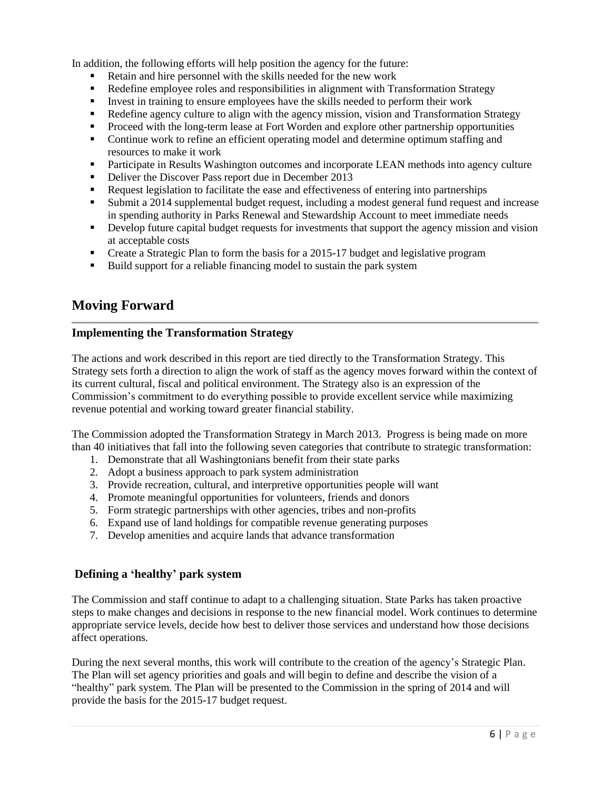In addition, the following efforts will help position the agency for the future:

- Retain and hire personnel with the skills needed for the new work
- Redefine employee roles and responsibilities in alignment with Transformation Strategy
- Invest in training to ensure employees have the skills needed to perform their work
- Redefine agency culture to align with the agency mission, vision and Transformation Strategy
- **Proceed with the long-term lease at Fort Worden and explore other partnership opportunities**
- Continue work to refine an efficient operating model and determine optimum staffing and resources to make it work
- **Participate in Results Washington outcomes and incorporate LEAN methods into agency culture**
- Deliver the Discover Pass report due in December 2013
- Request legislation to facilitate the ease and effectiveness of entering into partnerships
- Submit a 2014 supplemental budget request, including a modest general fund request and increase in spending authority in Parks Renewal and Stewardship Account to meet immediate needs
- **•** Develop future capital budget requests for investments that support the agency mission and vision at acceptable costs
- Create a Strategic Plan to form the basis for a 2015-17 budget and legislative program
- Build support for a reliable financing model to sustain the park system

## **Moving Forward**

#### **Implementing the Transformation Strategy**

The actions and work described in this report are tied directly to the Transformation Strategy. This Strategy sets forth a direction to align the work of staff as the agency moves forward within the context of its current cultural, fiscal and political environment. The Strategy also is an expression of the Commission's commitment to do everything possible to provide excellent service while maximizing revenue potential and working toward greater financial stability.

The Commission adopted the Transformation Strategy in March 2013. Progress is being made on more than 40 initiatives that fall into the following seven categories that contribute to strategic transformation:

- 1. Demonstrate that all Washingtonians benefit from their state parks
- 2. Adopt a business approach to park system administration
- 3. Provide recreation, cultural, and interpretive opportunities people will want
- 4. Promote meaningful opportunities for volunteers, friends and donors
- 5. Form strategic partnerships with other agencies, tribes and non-profits
- 6. Expand use of land holdings for compatible revenue generating purposes
- 7. Develop amenities and acquire lands that advance transformation

#### **Defining a 'healthy' park system**

The Commission and staff continue to adapt to a challenging situation. State Parks has taken proactive steps to make changes and decisions in response to the new financial model. Work continues to determine appropriate service levels, decide how best to deliver those services and understand how those decisions affect operations.

During the next several months, this work will contribute to the creation of the agency's Strategic Plan. The Plan will set agency priorities and goals and will begin to define and describe the vision of a "healthy" park system. The Plan will be presented to the Commission in the spring of 2014 and will provide the basis for the 2015-17 budget request.